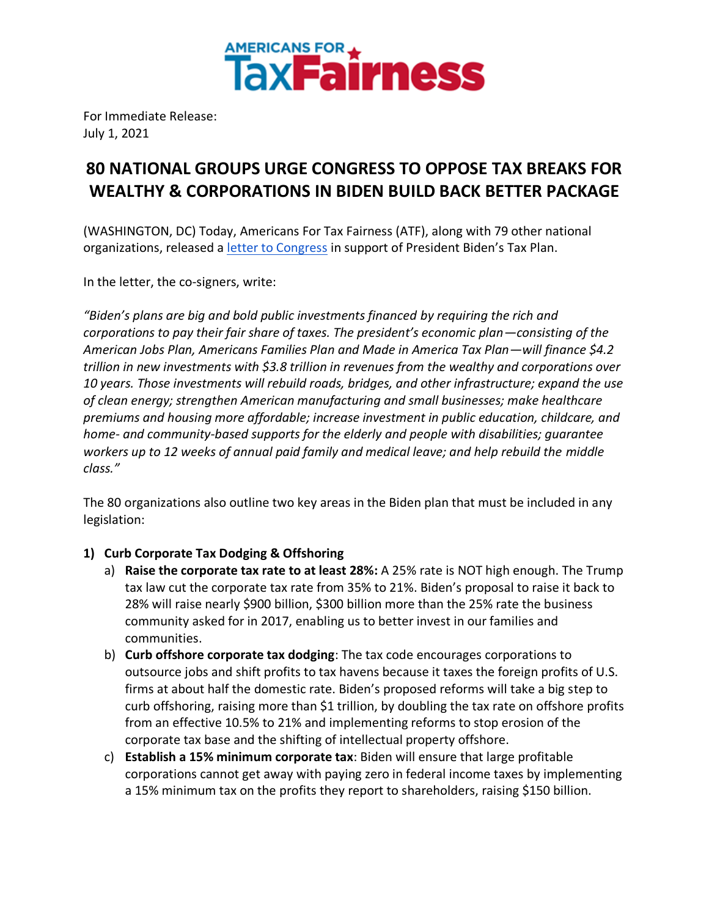

For Immediate Release: July 1, 2021

## **80 NATIONAL GROUPS URGE CONGRESS TO OPPOSE TAX BREAKS FOR WEALTHY & CORPORATIONS IN BIDEN BUILD BACK BETTER PACKAGE**

(WASHINGTON, DC) Today, Americans For Tax Fairness (ATF), along with 79 other national organizations, released a [letter to Congress](https://americansfortaxfairness.org/issue/national-organizations-support-president-bidens-tax-plan/) in support of President Biden's Tax Plan.

In the letter, the co-signers, write:

*"Biden's plans are big and bold public investments financed by requiring the rich and corporations to pay their fair share of taxes. The president's economic plan—consisting of the American Jobs Plan, Americans Families Plan and Made in America Tax Plan—will finance \$4.2 trillion in new investments with \$3.8 trillion in revenues from the wealthy and corporations over 10 years. Those investments will rebuild roads, bridges, and other infrastructure; expand the use of clean energy; strengthen American manufacturing and small businesses; make healthcare premiums and housing more affordable; increase investment in public education, childcare, and home- and community-based supports for the elderly and people with disabilities; guarantee workers up to 12 weeks of annual paid family and medical leave; and help rebuild the middle class."*

The 80 organizations also outline two key areas in the Biden plan that must be included in any legislation:

## **1) Curb Corporate Tax Dodging & Offshoring**

- a) **Raise the corporate tax rate to at least 28%:** A 25% rate is NOT high enough. The Trump tax law cut the corporate tax rate from 35% to 21%. Biden's proposal to raise it back to 28% will raise nearly \$900 billion, \$300 billion more than the 25% rate the business community asked for in 2017, enabling us to better invest in our families and communities.
- b) **Curb offshore corporate tax dodging**: The tax code encourages corporations to outsource jobs and shift profits to tax havens because it taxes the foreign profits of U.S. firms at about half the domestic rate. Biden's proposed reforms will take a big step to curb offshoring, raising more than \$1 trillion, by doubling the tax rate on offshore profits from an effective 10.5% to 21% and implementing reforms to stop erosion of the corporate tax base and the shifting of intellectual property offshore.
- c) **Establish a 15% minimum corporate tax**: Biden will ensure that large profitable corporations cannot get away with paying zero in federal income taxes by implementing a 15% minimum tax on the profits they report to shareholders, raising \$150 billion.